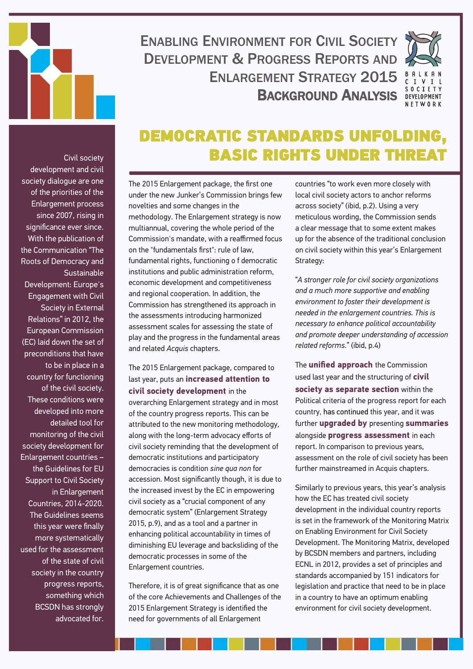

## ENABLING ENVIRONMENT FOR CIVIL SOCIETY DEVELOPMENT & PROGRESS REPORTS AND ENI ARGEMENT STRATEGY 2015 BACKGROUND ANALYSIS



## DEMOCRATIC STANDARDS UNFOLDING, BASIC RIGHTS UNDER THREAT

Civil society development and civil society dialogue are one of the priorities of the Enlargement process since 2007, rising in significance ever since. With the publication of the Communication "The Roots of Democracy and **Sustainable** Development: Europe's Engagement with Civil Society in External Relations" in 2012, the European Commission (EC) laid down the set of preconditions that have to be in place in a country for functioning of the civil society. These conditions were developed into more detailed tool for monitoring of the civil society development for Enlargement countries – the Guidelines for EU Support to Civil Society in Enlargement Countries, 2014-2020. The Guidelines seems this year were finally more systematically used for the assessment of the state of civil society in the country progress reports, something which BCSDN has strongly advocated for.

The 2015 Enlargement package, the first one under the new Junker's Commission brings few novelties and some changes in the methodology. The Enlargement strategy is now multiannual, covering the whole period of the Commission's mandate, with a reaffirmed focus on the "fundamentals first": rule of law, fundamental rights, functioning o f democratic institutions and public administration reform, economic development and competitiveness and regional cooperation. In addition, the Commission has strengthened its approach in the assessments introducing harmonized assessment scales for assessing the state of play and the progress in the fundamental areas and related *Acquis* chapters.

The 2015 Enlargement package, compared to last year, puts an **increased attention to civil society development** in the overarching Enlargement strategy and in most of the country progress reports. This can be attributed to the new monitoring methodology, along with the long-term advocacy efforts of civil society reminding that the development of democratic institutions and participatory democracies is condition *sine qua non* for accession. Most significantly though, it is due to the increased invest by the EC in empowering civil society as a "crucial component of any democratic system" (Enlargement Strategy 2015, p.9), and as a tool and a partner in enhancing political accountability in times of diminishing EU leverage and backsliding of the democratic processes in some of the Enlargement countries.

Therefore, it is of great significance that as one of the core Achievements and Challenges of the 2015 Enlargement Strategy is identified the need for governments of all Enlargement

countries "to work even more closely with local civil society actors to anchor reforms across society" (ibid, p.2). Using a very meticulous wording, the Commission sends a clear message that to some extent makes up for the absence of the traditional conclusion on civil society within this year's Enlargement Strategy:

"*A stronger role for civil society organizations and a much more supportive and enabling environment to foster their development is needed in the enlargement countries. This is necessary to enhance political accountability and promote deeper understanding of accession related reforms*." (ibid, p.4)

The **unified approach** the Commission used last year and the structuring of **civil society as separate section** within the Political criteria of the progress report for each country, has continued this year, and it was further **upgraded by** presenting **summaries**  alongside **progress assessment** in each report. In comparison to previous years, assessment on the role of civil society has been further mainstreamed in Acquis chapters.

Similarly to previous years, this year's analysis how the EC has treated civil society development in the individual country reports is set in the framework of the Monitoring Matrix on Enabling Environment for Civil Society Development. The Monitoring Matrix, developed by BCSDN members and partners, including ECNL in 2012, provides a set of principles and standards accompanied by 151 indicators for legislation and practice that need to be in place in a country to have an optimum enabling environment for civil society development.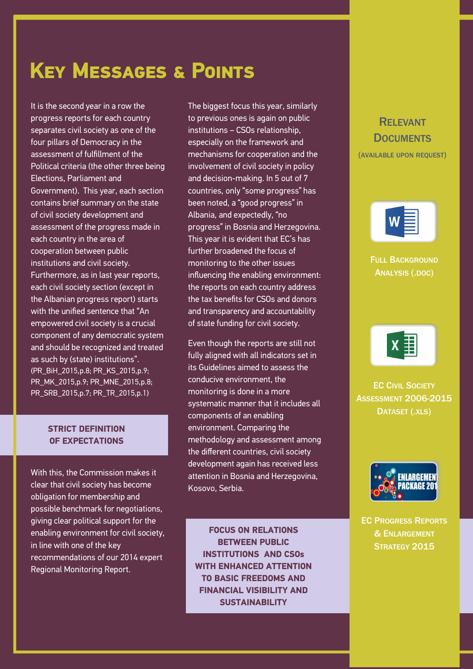## **Key Messages & Points**

It is the second year in a row the progress reports for each country separates civil society as one of the four pillars of Democracy in the assessment of fulfillment of the Political criteria (the other three being Elections, Parliament and Government). This year, each section contains brief summary on the state of civil society development and assessment of the progress made in each country in the area of cooperation between public institutions and civil society. Furthermore, as in last year reports, each civil society section (except in the Albanian progress report) starts with the unified sentence that "An empowered civil society is a crucial component of any democratic system and should be recognized and treated as such by (state) institutions". (PR\_BiH\_2015,p.8; PR\_KS\_2015,p.9; PR\_MK\_2015,p.9; PR\_MNE\_2015,p.8; PR\_SRB\_2015,p.7; PR\_TR\_2015,p.1)

#### **STRICT DEFINITION OF EXPECTATIONS**

With this, the Commission makes it clear that civil society has become obligation for membership and possible benchmark for negotiations, giving clear political support for the enabling environment for civil society, in line with one of the key recommendations of our 2014 expert Regional Monitoring Report.

The biggest focus this year, similarly to previous ones is again on public institutions – CSOs relationship, especially on the framework and mechanisms for cooperation and the involvement of civil society in policy and decision-making. In 5 out of 7 countries, only "some progress" has been noted, a "good progress" in Albania, and expectedly, "no progress" in Bosnia and Herzegovina. This year it is evident that EC's has further broadened the focus of monitoring to the other issues influencing the enabling environment: the reports on each country address the tax benefits for CSOs and donors and transparency and accountability of state funding for civil society.

Even though the reports are still not fully aligned with all indicators set in its Guidelines aimed to assess the conducive environment, the monitoring is done in a more systematic manner that it includes all components of an enabling environment. Comparing the methodology and assessment among the different countries, civil society development again has received less attention in Bosnia and Herzegovina, Kosovo, Serbia.

**FOCUS ON RELATIONS BETWEEN PUBLIC INSTITUTIONS AND CSOs WITH ENHANCED ATTENTION TO BASIC FREEDOMS AND FINANCIAL VISIBILITY AND SUSTAINABILITY**

#### RELEVANT **DOCUMENTS** (AVAILABLE UPON REQUEST)

FULL B[ACKGROUND](http://www.balkancsd.net/images/stories/BCSDN_EC-PR-EnlargementStrategy-BackgroundAnalysis.docx) A[NALYSIS](http://www.balkancsd.net/images/stories/BCSDN_EC-PR-EnlargementStrategy-BackgroundAnalysis.docx) (.DOC)



**EC CIVIL S[OCIETY](http://www.balkancsd.net/images/stories/Progress_Reports_2014__Regional_Extracts_Civil_Society.xls) ASSESSMENT [2006-2015](http://www.balkancsd.net/images/stories/Progress_Reports_2014__Regional_Extracts_Civil_Society.xls)** D[ATASET](http://www.balkancsd.net/images/stories/Progress_Reports_2014__Regional_Extracts_Civil_Society.xls) (.XLS)



EC P[ROGRESS](http://ec.europa.eu/enlargement/countries/strategy-and-progress-report/index_en.htm) REPORTS & E[NLARGEMENT](http://ec.europa.eu/enlargement/countries/strategy-and-progress-report/index_en.htm) S[TRATEGY](http://ec.europa.eu/enlargement/countries/strategy-and-progress-report/index_en.htm) 2015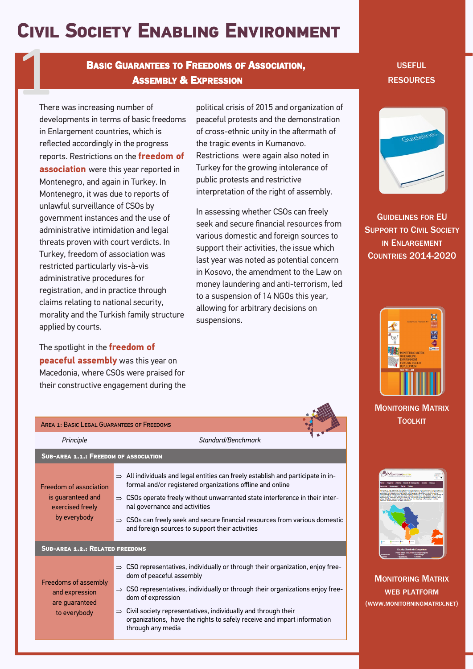## **Civil Society Enabling Environment**

**BASIC GUARANTEES TO FREEDOMS OF ASSOCIATION.** ASSEMBLY & EXPRESSION **EXPRESSION SASIC GUARANTEES TO FREEDOMS OF ASSOCIATION, SASEMBLY & EXPRESSION**<br>There was increasing number of political crisis of 2015 and organization of

There was increasing number of developments in terms of basic freedoms in Enlargement countries, which is reflected accordingly in the progress reports. Restrictions on the **freedom of association** were this year reported in Montenegro, and again in Turkey. In Montenegro, it was due to reports of unlawful surveillance of CSOs by government instances and the use of administrative intimidation and legal threats proven with court verdicts. In Turkey, freedom of association was restricted particularly vis-à-vis administrative procedures for registration, and in practice through claims relating to national security, morality and the Turkish family structure applied by courts.

The spotlight in the **freedom of peaceful assembly** was this year on Macedonia, where CSOs were praised for their constructive engagement during the

political crisis of 2015 and organization of peaceful protests and the demonstration of cross-ethnic unity in the aftermath of the tragic events in Kumanovo. Restrictions were again also noted in Turkey for the growing intolerance of public protests and restrictive interpretation of the right of assembly.

In assessing whether CSOs can freely seek and secure financial resources from various domestic and foreign sources to support their activities, the issue which last year was noted as potential concern in Kosovo, the amendment to the Law on money laundering and anti-terrorism, led to a suspension of 14 NGOs this year, allowing for arbitrary decisions on suspensions.

| AREA 1: BASIC LEGAL GUARANTEES OF FREEDOMS                                      |                                                                                                                                                                                                                                                                                                                                                                                                                                      |  |  |  |  |
|---------------------------------------------------------------------------------|--------------------------------------------------------------------------------------------------------------------------------------------------------------------------------------------------------------------------------------------------------------------------------------------------------------------------------------------------------------------------------------------------------------------------------------|--|--|--|--|
| Principle                                                                       | Standard/Benchmark                                                                                                                                                                                                                                                                                                                                                                                                                   |  |  |  |  |
| <b>SUB-AREA 1.1.: FREEDOM OF ASSOCIATION</b>                                    |                                                                                                                                                                                                                                                                                                                                                                                                                                      |  |  |  |  |
| Freedom of association<br>is quaranteed and<br>exercised freely<br>by everybody | $\Rightarrow$ All individuals and legal entities can freely establish and participate in in-<br>formal and/or registered organizations offline and online<br>$\Rightarrow$ CSOs operate freely without unwarranted state interference in their inter-<br>nal governance and activities<br>$\Rightarrow$ CSOs can freely seek and secure financial resources from various domestic<br>and foreign sources to support their activities |  |  |  |  |
| <b>SUB-AREA 1.2.: RELATED FREEDOMS</b>                                          |                                                                                                                                                                                                                                                                                                                                                                                                                                      |  |  |  |  |
| Freedoms of assembly<br>and expression<br>are quaranteed<br>to everybody        | $\Rightarrow$ CSO representatives, individually or through their organization, enjoy free-<br>dom of peaceful assembly<br>$\Rightarrow$ CSO representatives, individually or through their organizations enjoy free-<br>dom of expression<br>Civil society representatives, individually and through their<br>$\Rightarrow$<br>organizations, have the rights to safely receive and impart information<br>through any media          |  |  |  |  |



G[UIDELINES](http://ec.europa.eu/enlargement/pdf/civil_society/doc_guidelines_cs_support.pdf) FOR EU S[UPPORT](http://ec.europa.eu/enlargement/pdf/civil_society/doc_guidelines_cs_support.pdf) TO CIVIL SOCIETY IN E[NLARGEMENT](http://ec.europa.eu/enlargement/pdf/civil_society/doc_guidelines_cs_support.pdf) C[OUNTRIES](http://ec.europa.eu/enlargement/pdf/civil_society/doc_guidelines_cs_support.pdf) 2014-2020



#### M[ONITORING](http://www.balkancsd.net/index.php/resources-and-links/publications/publications-policy-papersreports/2182-balkan-civic-practices-9-monitoring-matrix-for-enabling-environment-for-civil-society-development-the-tool-kit) MATRIX **T[OOLKIT](http://www.balkancsd.net/index.php/resources-and-links/publications/publications-policy-papersreports/2182-balkan-civic-practices-9-monitoring-matrix-for-enabling-environment-for-civil-society-development-the-tool-kit)**



M[ONITORING](http://monitoringmatrix.net/) MATRIX WEB [PLATFORM](http://monitoringmatrix.net/) (WWW.MONITORNINGMATRIX.NET)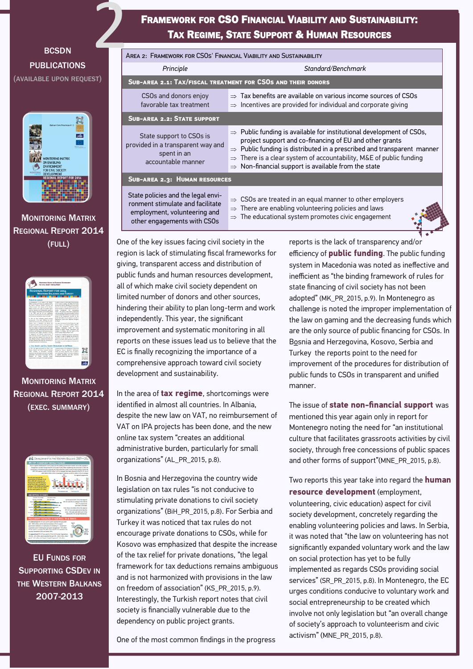#### **BCSDN** PUBLICATIONS (AVAILABLE UPON REQUEST)



M[ONITORING](http://monitoringmatrix.net/wp-content/uploads/2014/06/Regional-report-on-EE-as-of-04-06-2014_ABs_06062014_THA_08062014.pdf) MATRIX R[EGIONAL](http://monitoringmatrix.net/wp-content/uploads/2014/06/Regional-report-on-EE-as-of-04-06-2014_ABs_06062014_THA_08062014.pdf) REPORT 2014 (FULL)



M[ONITORING](http://monitoringmatrix.net/wp-content/uploads/2014/06/Regional-report-on-EE-as-of-04-06-2014_ABs_06062014_THA_08062014.pdf) MATRIX REGIONAL REPORT 2014 (EXEC. [SUMMARY](http://www.balkancsd.net/images/132-3_RR_on_CS_Enabling_Environment_Exec_Summary_za_web.pdf))



EU FUNDS FOR SUPPORTING CSDEV IN THE WESTERN BALKANS 2007-2013

#### FRAMEWORK FOR CSO FINANCIAL VIABILITY AND SUSTAINABILITY: TAX REGIME, STATE SUPPORT & HUMAN RESOURCES

|                                                                                                                                       | <b>TAX REGIME, STATE SUPPORT &amp; HUMAN RESOURCES</b>                                                                                                                                                                                                                                                                                                     |  |
|---------------------------------------------------------------------------------------------------------------------------------------|------------------------------------------------------------------------------------------------------------------------------------------------------------------------------------------------------------------------------------------------------------------------------------------------------------------------------------------------------------|--|
| AREA 2: FRAMEWORK FOR CSOS' FINANCIAL VIABILITY AND SUSTAINABILITY                                                                    |                                                                                                                                                                                                                                                                                                                                                            |  |
| Principle                                                                                                                             | Standard/Benchmark                                                                                                                                                                                                                                                                                                                                         |  |
| SUB-AREA 2.1: TAX/FISCAL TREATMENT FOR CSOS AND THEIR DONORS                                                                          |                                                                                                                                                                                                                                                                                                                                                            |  |
| CSOs and donors enjoy<br>favorable tax treatment                                                                                      | $\Rightarrow$ Tax benefits are available on various income sources of CSOs<br>$\Rightarrow$ Incentives are provided for individual and corporate giving                                                                                                                                                                                                    |  |
| <b>SUB-AREA 2.2: STATE SUPPORT</b>                                                                                                    |                                                                                                                                                                                                                                                                                                                                                            |  |
| State support to CSOs is<br>provided in a transparent way and<br>spent in an<br>accountable manner                                    | $\Rightarrow$ Public funding is available for institutional development of CSOs,<br>project support and co-financing of EU and other grants<br>$\Rightarrow$ Public funding is distributed in a prescribed and transparent manner<br>There is a clear system of accountability, M&E of public funding<br>Non-financial support is available from the state |  |
| SUB-AREA 2.3: HUMAN RESOURCES                                                                                                         |                                                                                                                                                                                                                                                                                                                                                            |  |
| State policies and the legal envi-<br>ronment stimulate and facilitate<br>employment, volunteering and<br>other engagements with CSOs | $\Rightarrow$ CSOs are treated in an equal manner to other employers<br>There are enabling volunteering policies and laws<br>The educational system promotes civic engagement                                                                                                                                                                              |  |

One of the key issues facing civil society in the region is lack of stimulating fiscal frameworks for giving, transparent access and distribution of public funds and human resources development, all of which make civil society dependent on limited number of donors and other sources, hindering their ability to plan long-term and work independently. This year, the significant improvement and systematic monitoring in all reports on these issues lead us to believe that the EC is finally recognizing the importance of a comprehensive approach toward civil society development and sustainability.

In the area of **tax regime**, shortcomings were identified in almost all countries. In Albania, despite the new law on VAT, no reimbursement of VAT on IPA projects has been done, and the new online tax system "creates an additional administrative burden, particularly for small organizations" (AL\_PR\_2015, p.8).

In Bosnia and Herzegovina the country wide legislation on tax rules "is not conducive to stimulating private donations to civil society organizations" (BiH\_PR\_2015, p.8). For Serbia and Turkey it was noticed that tax rules do not encourage private donations to CSOs, while for Kosovo was emphasized that despite the increase of the tax relief for private donations, "the legal framework for tax deductions remains ambiguous and is not harmonized with provisions in the law on freedom of association" (KS\_PR\_2015, p.9). Interestingly, the Turkish report notes that civil society is financially vulnerable due to the dependency on public project grants.

One of the most common findings in the progress

reports is the lack of transparency an[d/or](http://monitoringmatrix.net/)  efficiency of **public funding**. The public funding system in Macedonia was noted as ineffective and inefficient as "the binding framework of rules for state financing of civil society has not been adopted" (MK\_PR\_2015, p.9). In Montenegro as challenge is noted the improper implementation of the law on gaming and the decreasing funds which are the only source of public financing for CSOs. In Bosnia and Herzegovina, Kosovo, Serbia and Turkey the reports point to the need for improvement of the procedures for distribution of public funds to CSOs in transparent and unified manner.

The issue of **state non-financial support** was mentioned this year again only in report for Montenegro noting the need for "an institutional culture that facilitates grassroots activities by civil society, through free concessions of public spaces and other forms of support"(MNE\_PR\_2015, p.8).

Two reports this year take into regard the **human resource development** (employment, volunteering, civic education) aspect for civil society development, concretely regarding the enabling volunteering policies and laws. In Serbia, it was noted that "the law on volunteering has not significantly expanded voluntary work and the law on social protection has yet to be fully implemented as regards CSOs providing social services" (SR\_PR\_2015, p.8). In Montenegro, the EC urges conditions conducive to voluntary work and social entrepreneurship to be created which involve not only legislation but "an overall change of society's approach to volunteerism and civic activism" (MNE\_PR\_2015, p.8).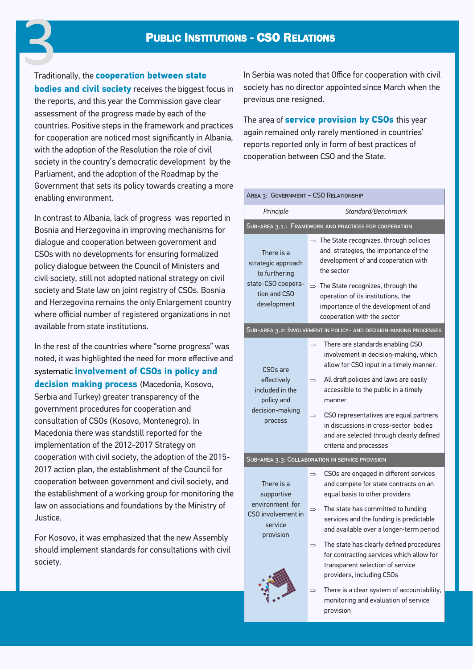# Traditionally, the **cooperation between state 3**<br>Traditi

**bodies and civil society** receives the biggest focus in the reports, and this year the Commission gave clear assessment of the progress made by each of the countries. Positive steps in the framework and practices for cooperation are noticed most significantly in Albania, with the adoption of the Resolution the role of civil society in the country's democratic development by the Parliament, and the adoption of the Roadmap by the Government that sets its policy towards creating a more enabling environment.

In contrast to Albania, lack of progress was reported in Bosnia and Herzegovina in improving mechanisms for dialogue and cooperation between government and CSOs with no developments for ensuring formalized policy dialogue between the Council of Ministers and civil society, still not adopted national strategy on civil society and State law on joint registry of CSOs. Bosnia and Herzegovina remains the only Enlargement country where official number of registered organizations in not available from state institutions.

In the rest of the countries where "some progress" was noted, it was highlighted the need for more effective and systematic **involvement of CSOs in policy and decision making process** (Macedonia, Kosovo, Serbia and Turkey) greater transparency of the government procedures for cooperation and consultation of CSOs (Kosovo, Montenegro). In Macedonia there was standstill reported for the implementation of the 2012-2017 Strategy on cooperation with civil society, the adoption of the 2015- 2017 action plan, the establishment of the Council for cooperation between government and civil society, and the establishment of a working group for monitoring the law on associations and foundations by the Ministry of Justice.

For Kosovo, it was emphasized that the new Assembly should implement standards for consultations with civil society.

In Serbia was noted that Office for cooperation with civil society has no director appointed since March when the previous one resigned.

The area of **service provision by CSOs** this year again remained only rarely mentioned in countries' reports reported only in form of best practices of cooperation between CSO and the State.

| AREA 3: GOVERNMENT - CSO RELATIONSHIP                                                                  |                                                                                                                                                                                                                                                                                                                                                                                                                              |  |  |  |  |
|--------------------------------------------------------------------------------------------------------|------------------------------------------------------------------------------------------------------------------------------------------------------------------------------------------------------------------------------------------------------------------------------------------------------------------------------------------------------------------------------------------------------------------------------|--|--|--|--|
| Principle                                                                                              | Standard/Benchmark                                                                                                                                                                                                                                                                                                                                                                                                           |  |  |  |  |
| SUB-AREA 3.1.: FRAMEWORK AND PRACTICES FOR COOPERATION                                                 |                                                                                                                                                                                                                                                                                                                                                                                                                              |  |  |  |  |
| There is a<br>strategic approach<br>to furthering<br>state-CSO coopera-<br>tion and CSO<br>development | $\Rightarrow$ The State recognizes, through policies<br>and strategies, the importance of the<br>development of and cooperation with<br>the sector<br>$\Rightarrow$ The State recognizes, through the<br>operation of its institutions, the<br>importance of the development of and<br>cooperation with the sector                                                                                                           |  |  |  |  |
| SUB-AREA 3.2: INVOLVEMENT IN POLICY- AND DECISION-MAKING PROCESSES                                     |                                                                                                                                                                                                                                                                                                                                                                                                                              |  |  |  |  |
| CSO <sub>s</sub> are<br>effectively<br>included in the<br>policy and<br>decision-making<br>process     | There are standards enabling CSO<br>$\Rightarrow$<br>involvement in decision-making, which<br>allow for CSO input in a timely manner.<br>All draft policies and laws are easily<br>$\Rightarrow$<br>accessible to the public in a timely<br>manner<br>CSO representatives are equal partners<br>$\Rightarrow$<br>in discussions in cross-sector bodies<br>and are selected through clearly defined<br>criteria and processes |  |  |  |  |
|                                                                                                        | SUB-AREA 3.3: COLLABORATION IN SERVICE PROVISION                                                                                                                                                                                                                                                                                                                                                                             |  |  |  |  |
| There is a<br>supportive<br>environment for<br>CSO involvement in                                      | CSOs are engaged in different services<br>$\Rightarrow$<br>and compete for state contracts on an<br>equal basis to other providers<br>The state has committed to funding<br>$\Rightarrow$<br>services and the funding is predictable                                                                                                                                                                                         |  |  |  |  |
| service<br>provision                                                                                   | and available over a longer-term period<br>The state has clearly defined procedures<br>for contracting services which allow for<br>transparent selection of service                                                                                                                                                                                                                                                          |  |  |  |  |
|                                                                                                        | providers, including CSOs<br>There is a clear system of accountability,<br>monitoring and evaluation of service<br>provision                                                                                                                                                                                                                                                                                                 |  |  |  |  |